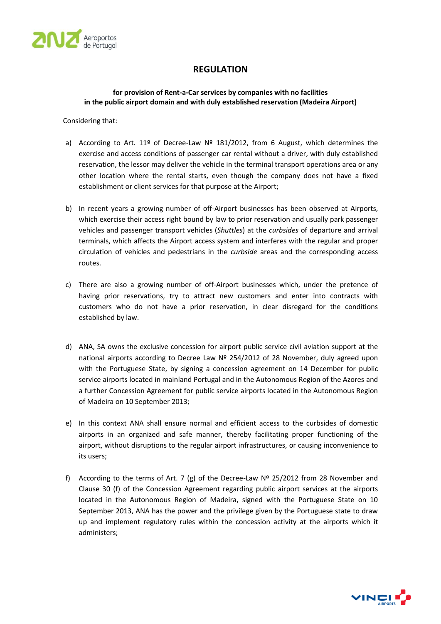

# **REGULATION**

#### **for provision of Rent-a-Car services by companies with no facilities in the public airport domain and with duly established reservation (Madeira Airport)**

Considering that:

- a) According to Art.  $11^{\circ}$  of Decree-Law N° 181/2012, from 6 August, which determines the exercise and access conditions of passenger car rental without a driver, with duly established reservation, the lessor may deliver the vehicle in the terminal transport operations area or any other location where the rental starts, even though the company does not have a fixed establishment or client services for that purpose at the Airport;
- b) In recent years a growing number of off-Airport businesses has been observed at Airports, which exercise their access right bound by law to prior reservation and usually park passenger vehicles and passenger transport vehicles (*Shuttles*) at the *curbsides* of departure and arrival terminals, which affects the Airport access system and interferes with the regular and proper circulation of vehicles and pedestrians in the *curbside* areas and the corresponding access routes.
- c) There are also a growing number of off-Airport businesses which, under the pretence of having prior reservations, try to attract new customers and enter into contracts with customers who do not have a prior reservation, in clear disregard for the conditions established by law.
- d) ANA, SA owns the exclusive concession for airport public service civil aviation support at the national airports according to Decree Law Nº 254/2012 of 28 November, duly agreed upon with the Portuguese State, by signing a concession agreement on 14 December for public service airports located in mainland Portugal and in the Autonomous Region of the Azores and a further Concession Agreement for public service airports located in the Autonomous Region of Madeira on 10 September 2013;
- e) In this context ANA shall ensure normal and efficient access to the curbsides of domestic airports in an organized and safe manner, thereby facilitating proper functioning of the airport, without disruptions to the regular airport infrastructures, or causing inconvenience to its users;
- f) According to the terms of Art. 7 (g) of the Decree-Law  $N^{\circ}$  25/2012 from 28 November and Clause 30 (f) of the Concession Agreement regarding public airport services at the airports located in the Autonomous Region of Madeira, signed with the Portuguese State on 10 September 2013, ANA has the power and the privilege given by the Portuguese state to draw up and implement regulatory rules within the concession activity at the airports which it administers;

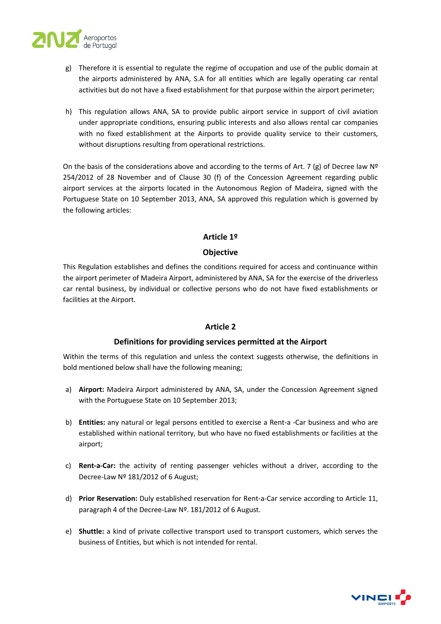

- g) Therefore it is essential to regulate the regime of occupation and use of the public domain at the airports administered by ANA, S.A for all entities which are legally operating car rental activities but do not have a fixed establishment for that purpose within the airport perimeter;
- h) This regulation allows ANA, SA to provide public airport service in support of civil aviation under appropriate conditions, ensuring public interests and also allows rental car companies with no fixed establishment at the Airports to provide quality service to their customers, without disruptions resulting from operational restrictions.

On the basis of the considerations above and according to the terms of Art. 7 (g) of Decree law  $N^{\circ}$ 254/2012 of 28 November and of Clause 30 (f) of the Concession Agreement regarding public airport services at the airports located in the Autonomous Region of Madeira, signed with the Portuguese State on 10 September 2013, ANA, SA approved this regulation which is governed by the following articles:

#### **Article 1º**

### **Objective**

This Regulation establishes and defines the conditions required for access and continuance within the airport perimeter of Madeira Airport, administered by ANA, SA for the exercise of the driverless car rental business, by individual or collective persons who do not have fixed establishments or facilities at the Airport.

### **Article 2**

### **Definitions for providing services permitted at the Airport**

Within the terms of this regulation and unless the context suggests otherwise, the definitions in bold mentioned below shall have the following meaning;

- a) **Airport:** Madeira Airport administered by ANA, SA, under the Concession Agreement signed with the Portuguese State on 10 September 2013;
- b) **Entities:** any natural or legal persons entitled to exercise a Rent-a -Car business and who are established within national territory, but who have no fixed establishments or facilities at the airport;
- c) **Rent-a-Car:** the activity of renting passenger vehicles without a driver, according to the Decree-Law Nº 181/2012 of 6 August;
- d) **Prior Reservation:** Duly established reservation for Rent-a-Car service according to Article 11, paragraph 4 of the Decree-Law Nº. 181/2012 of 6 August.
- e) **Shuttle:** a kind of private collective transport used to transport customers, which serves the business of Entities, but which is not intended for rental.

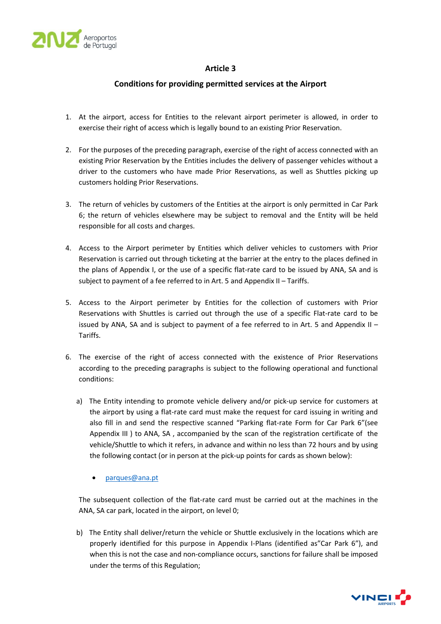

### **Article 3**

## **Conditions for providing permitted services at the Airport**

- 1. At the airport, access for Entities to the relevant airport perimeter is allowed, in order to exercise their right of access which is legally bound to an existing Prior Reservation.
- 2. For the purposes of the preceding paragraph, exercise of the right of access connected with an existing Prior Reservation by the Entities includes the delivery of passenger vehicles without a driver to the customers who have made Prior Reservations, as well as Shuttles picking up customers holding Prior Reservations.
- 3. The return of vehicles by customers of the Entities at the airport is only permitted in Car Park 6; the return of vehicles elsewhere may be subject to removal and the Entity will be held responsible for all costs and charges.
- 4. Access to the Airport perimeter by Entities which deliver vehicles to customers with Prior Reservation is carried out through ticketing at the barrier at the entry to the places defined in the plans of Appendix I, or the use of a specific flat-rate card to be issued by ANA, SA and is subject to payment of a fee referred to in Art. 5 and Appendix II – Tariffs.
- 5. Access to the Airport perimeter by Entities for the collection of customers with Prior Reservations with Shuttles is carried out through the use of a specific Flat-rate card to be issued by ANA, SA and is subject to payment of a fee referred to in Art. 5 and Appendix II – Tariffs.
- 6. The exercise of the right of access connected with the existence of Prior Reservations according to the preceding paragraphs is subject to the following operational and functional conditions:
	- a) The Entity intending to promote vehicle delivery and/or pick-up service for customers at the airport by using a flat-rate card must make the request for card issuing in writing and also fill in and send the respective scanned "Parking flat-rate Form for Car Park 6"(see Appendix III ) to ANA, SA , accompanied by the scan of the registration certificate of the vehicle/Shuttle to which it refers, in advance and within no less than 72 hours and by using the following contact (or in person at the pick-up points for cards as shown below):
		- [parques@](mailto:Analisboa@empark.pt)ana.pt

The subsequent collection of the flat-rate card must be carried out at the machines in the ANA, SA car park, located in the airport, on level 0;

b) The Entity shall deliver/return the vehicle or Shuttle exclusively in the locations which are properly identified for this purpose in Appendix I-Plans (identified as"Car Park 6"), and when this is not the case and non-compliance occurs, sanctions for failure shall be imposed under the terms of this Regulation;

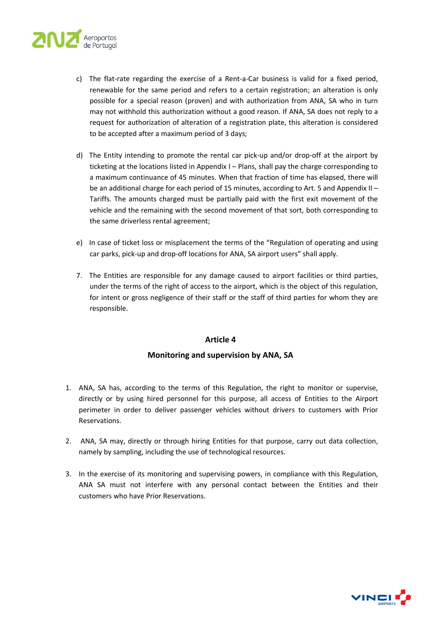

- c) The flat-rate regarding the exercise of a Rent-a-Car business is valid for a fixed period, renewable for the same period and refers to a certain registration; an alteration is only possible for a special reason (proven) and with authorization from ANA, SA who in turn may not withhold this authorization without a good reason. If ANA, SA does not reply to a request for authorization of alteration of a registration plate, this alteration is considered to be accepted after a maximum period of 3 days;
- d) The Entity intending to promote the rental car pick-up and/or drop-off at the airport by ticketing at the locations listed in Appendix I – Plans, shall pay the charge corresponding to a maximum continuance of 45 minutes. When that fraction of time has elapsed, there will be an additional charge for each period of 15 minutes, according to Art. 5 and Appendix II – Tariffs. The amounts charged must be partially paid with the first exit movement of the vehicle and the remaining with the second movement of that sort, both corresponding to the same driverless rental agreement;
- e) In case of ticket loss or misplacement the terms of the "Regulation of operating and using car parks, pick-up and drop-off locations for ANA, SA airport users" shall apply.
- 7. The Entities are responsible for any damage caused to airport facilities or third parties, under the terms of the right of access to the airport, which is the object of this regulation, for intent or gross negligence of their staff or the staff of third parties for whom they are responsible.

#### **Article 4**

### **Monitoring and supervision by ANA, SA**

- 1. ANA, SA has, according to the terms of this Regulation, the right to monitor or supervise, directly or by using hired personnel for this purpose, all access of Entities to the Airport perimeter in order to deliver passenger vehicles without drivers to customers with Prior Reservations.
- 2. ANA, SA may, directly or through hiring Entities for that purpose, carry out data collection, namely by sampling, including the use of technological resources.
- 3. In the exercise of its monitoring and supervising powers, in compliance with this Regulation, ANA SA must not interfere with any personal contact between the Entities and their customers who have Prior Reservations.

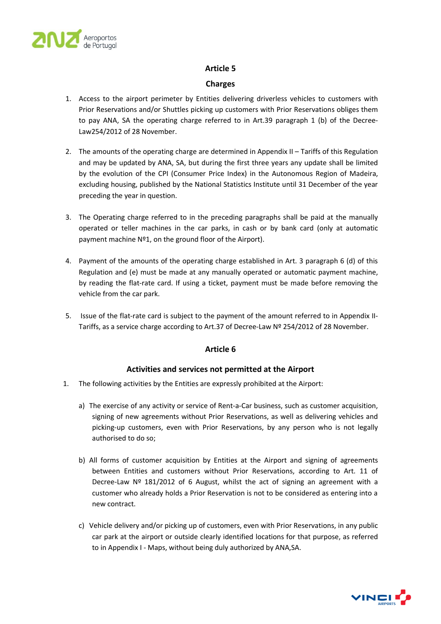

### **Article 5**

#### **Charges**

- 1. Access to the airport perimeter by Entities delivering driverless vehicles to customers with Prior Reservations and/or Shuttles picking up customers with Prior Reservations obliges them to pay ANA, SA the operating charge referred to in Art.39 paragraph 1 (b) of the Decree-Law254/2012 of 28 November.
- 2. The amounts of the operating charge are determined in Appendix II Tariffs of this Regulation and may be updated by ANA, SA, but during the first three years any update shall be limited by the evolution of the CPI (Consumer Price Index) in the Autonomous Region of Madeira, excluding housing, published by the National Statistics Institute until 31 December of the year preceding the year in question.
- 3. The Operating charge referred to in the preceding paragraphs shall be paid at the manually operated or teller machines in the car parks, in cash or by bank card (only at automatic payment machine Nº1, on the ground floor of the Airport).
- 4. Payment of the amounts of the operating charge established in Art. 3 paragraph 6 (d) of this Regulation and (e) must be made at any manually operated or automatic payment machine, by reading the flat-rate card. If using a ticket, payment must be made before removing the vehicle from the car park.
- 5. Issue of the flat-rate card is subject to the payment of the amount referred to in Appendix II-Tariffs, as a service charge according to Art.37 of Decree-Law Nº 254/2012 of 28 November.

### **Article 6**

### **Activities and services not permitted at the Airport**

- 1. The following activities by the Entities are expressly prohibited at the Airport:
	- a) The exercise of any activity or service of Rent-a-Car business, such as customer acquisition, signing of new agreements without Prior Reservations, as well as delivering vehicles and picking-up customers, even with Prior Reservations, by any person who is not legally authorised to do so;
	- b) All forms of customer acquisition by Entities at the Airport and signing of agreements between Entities and customers without Prior Reservations, according to Art. 11 of Decree-Law Nº 181/2012 of 6 August, whilst the act of signing an agreement with a customer who already holds a Prior Reservation is not to be considered as entering into a new contract.
	- c) Vehicle delivery and/or picking up of customers, even with Prior Reservations, in any public car park at the airport or outside clearly identified locations for that purpose, as referred to in Appendix I - Maps, without being duly authorized by ANA,SA.

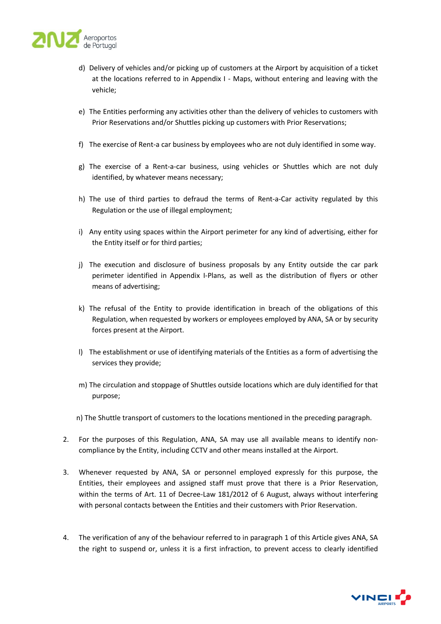

- d) Delivery of vehicles and/or picking up of customers at the Airport by acquisition of a ticket at the locations referred to in Appendix I - Maps, without entering and leaving with the vehicle;
- e) The Entities performing any activities other than the delivery of vehicles to customers with Prior Reservations and/or Shuttles picking up customers with Prior Reservations;
- f) The exercise of Rent-a car business by employees who are not duly identified in some way.
- g) The exercise of a Rent-a-car business, using vehicles or Shuttles which are not duly identified, by whatever means necessary;
- h) The use of third parties to defraud the terms of Rent-a-Car activity regulated by this Regulation or the use of illegal employment;
- i) Any entity using spaces within the Airport perimeter for any kind of advertising, either for the Entity itself or for third parties;
- j) The execution and disclosure of business proposals by any Entity outside the car park perimeter identified in Appendix I-Plans, as well as the distribution of flyers or other means of advertising;
- k) The refusal of the Entity to provide identification in breach of the obligations of this Regulation, when requested by workers or employees employed by ANA, SA or by security forces present at the Airport.
- l) The establishment or use of identifying materials of the Entities as a form of advertising the services they provide;
- m) The circulation and stoppage of Shuttles outside locations which are duly identified for that purpose;
- n) The Shuttle transport of customers to the locations mentioned in the preceding paragraph.
- 2. For the purposes of this Regulation, ANA, SA may use all available means to identify noncompliance by the Entity, including CCTV and other means installed at the Airport.
- 3. Whenever requested by ANA, SA or personnel employed expressly for this purpose, the Entities, their employees and assigned staff must prove that there is a Prior Reservation, within the terms of Art. 11 of Decree-Law 181/2012 of 6 August, always without interfering with personal contacts between the Entities and their customers with Prior Reservation.
- 4. The verification of any of the behaviour referred to in paragraph 1 of this Article gives ANA, SA the right to suspend or, unless it is a first infraction, to prevent access to clearly identified

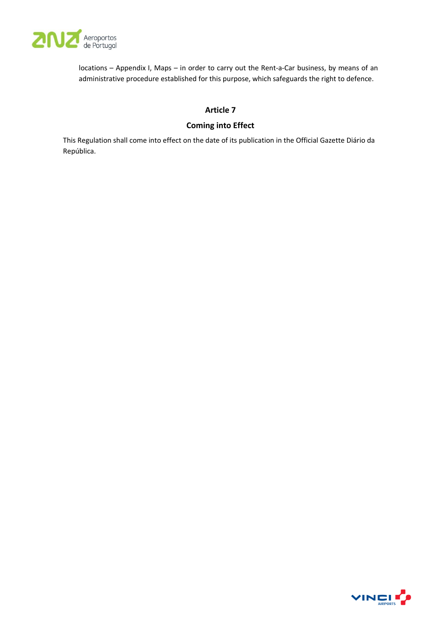

locations – Appendix I, Maps – in order to carry out the Rent-a-Car business, by means of an administrative procedure established for this purpose, which safeguards the right to defence.

# **Article 7**

## **Coming into Effect**

This Regulation shall come into effect on the date of its publication in the Official Gazette Diário da República.

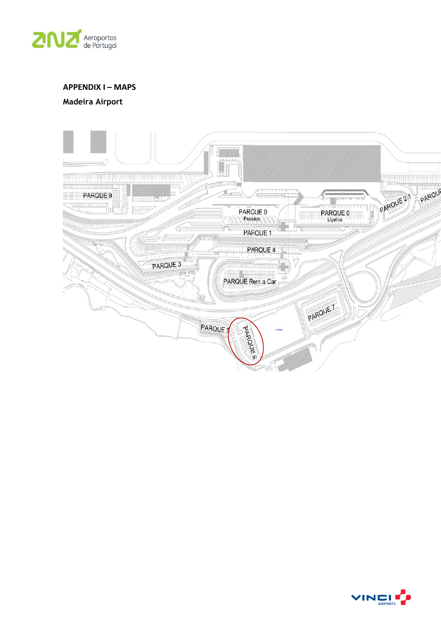

**APPENDIX I – MAPS**

**Madeira Airport**



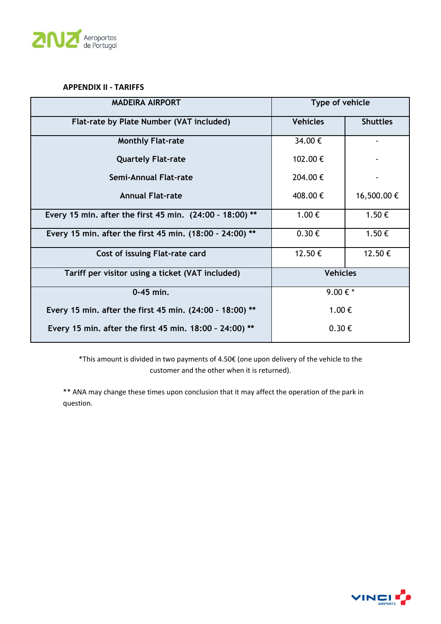

### **APPENDIX II - TARIFFS**

| <b>MADEIRA AIRPORT</b>                                   | Type of vehicle      |                 |
|----------------------------------------------------------|----------------------|-----------------|
| Flat-rate by Plate Number (VAT included)                 | <b>Vehicles</b>      | <b>Shuttles</b> |
| <b>Monthly Flat-rate</b>                                 | 34.00 €              |                 |
| <b>Quartely Flat-rate</b>                                | 102.00€              |                 |
| Semi-Annual Flat-rate                                    | 204.00€              |                 |
| <b>Annual Flat-rate</b>                                  | 408.00 €             | 16,500.00 €     |
| Every 15 min. after the first 45 min. (24:00 - 18:00) ** | 1.00€                | 1.50€           |
| Every 15 min. after the first 45 min. (18:00 - 24:00) ** | $0.30 \epsilon$      | 1.50€           |
| Cost of issuing Flat-rate card                           | 12.50€               | 12.50€          |
| Tariff per visitor using a ticket (VAT included)         | <b>Vehicles</b>      |                 |
| $0-45$ min.                                              | 9.00 $\varepsilon$ * |                 |
| Every 15 min. after the first 45 min. (24:00 - 18:00) ** | 1.00€                |                 |
| Every 15 min. after the first 45 min. 18:00 - 24:00) **  | 0.30€                |                 |

\*This amount is divided in two payments of 4.50€ (one upon delivery of the vehicle to the customer and the other when it is returned).

\*\* ANA may change these times upon conclusion that it may affect the operation of the park in question.

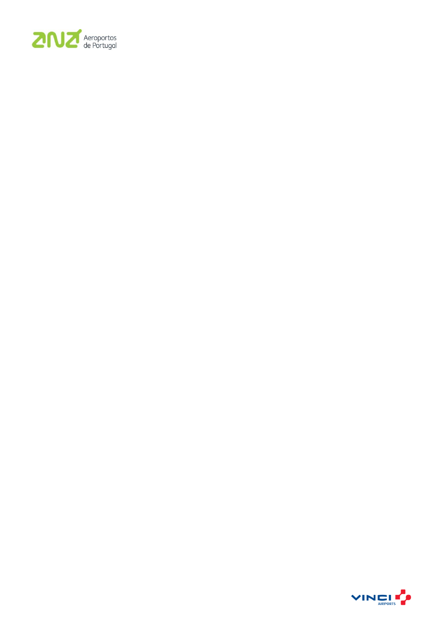